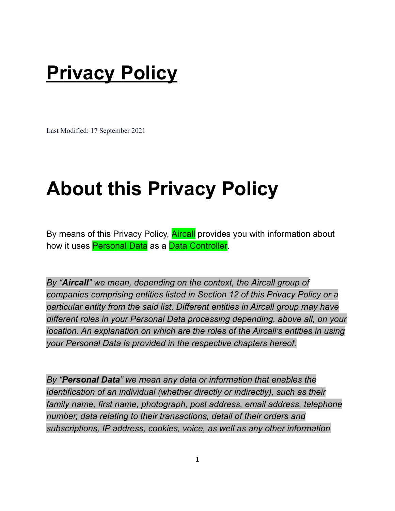#### **Privacy Policy**

Last Modified: 17 September 2021

#### **About this Privacy Policy**

By means of this Privacy Policy, **Aircall** provides you with information about how it uses Personal Data as a Data Controller.

*By "Aircall" we mean, depending on the context, the Aircall group of companies comprising entities listed in Section 12 of this Privacy Policy or a particular entity from the said list. Different entities in Aircall group may have different roles in your Personal Data processing depending, above all, on your location. An explanation on which are the roles of the Aircall's entities in using your Personal Data is provided in the respective chapters hereof.*

*By "Personal Data" we mean any data or information that enables the identification of an individual (whether directly or indirectly), such as their family name, first name, photograph, post address, email address, telephone number, data relating to their transactions, detail of their orders and subscriptions, IP address, cookies, voice, as well as any other information*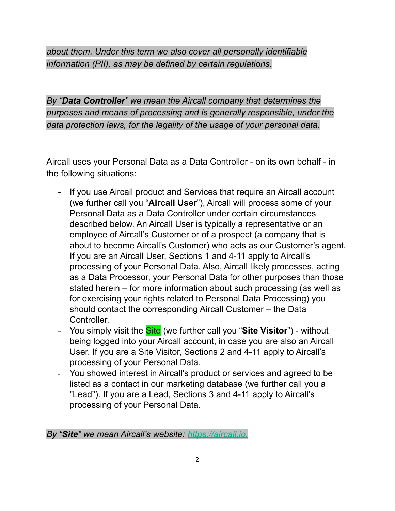*about them. Under this term we also cover all personally identifiable information (PII), as may be defined by certain regulations.*

*By "Data Controller" we mean the Aircall company that determines the purposes and means of processing and is generally responsible, under the data protection laws, for the legality of the usage of your personal data.*

Aircall uses your Personal Data as a Data Controller - on its own behalf - in the following situations:

- If you use Aircall product and Services that require an Aircall account (we further call you "**Aircall User**"), Aircall will process some of your Personal Data as a Data Controller under certain circumstances described below. An Aircall User is typically a representative or an employee of Aircall's Customer or of a prospect (a company that is about to become Aircall's Customer) who acts as our Customer's agent. If you are an Aircall User, Sections 1 and 4-11 apply to Aircall's processing of your Personal Data. Also, Aircall likely processes, acting as a Data Processor, your Personal Data for other purposes than those stated herein – for more information about such processing (as well as for exercising your rights related to Personal Data Processing) you should contact the corresponding Aircall Customer – the Data Controller.
- You simply visit the Site (we further call you "**Site Visitor**") without being logged into your Aircall account, in case you are also an Aircall User. If you are a Site Visitor, Sections 2 and 4-11 apply to Aircall's processing of your Personal Data.
- You showed interest in Aircall's product or services and agreed to be listed as a contact in our marketing database (we further call you a "Lead"). If you are a Lead, Sections 3 and 4-11 apply to Aircall's processing of your Personal Data.

*By "Site" we mean Aircall's website: [https://aircall.io.](https://aircall.io)*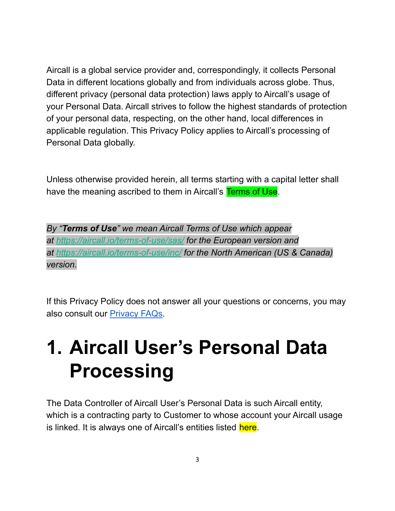Aircall is a global service provider and, correspondingly, it collects Personal Data in different locations globally and from individuals across globe. Thus, different privacy (personal data protection) laws apply to Aircall's usage of your Personal Data. Aircall strives to follow the highest standards of protection of your personal data, respecting, on the other hand, local differences in applicable regulation. This Privacy Policy applies to Aircall's processing of Personal Data globally.

Unless otherwise provided herein, all terms starting with a capital letter shall have the meaning ascribed to them in Aircall's Terms of Use.

*By "Terms of Use" we mean Aircall Terms of Use which appear at <https://aircall.io/terms-of-use/sas/> for the European version and at <https://aircall.io/terms-of-use/inc/> for the North American (US & Canada) version.*

If this Privacy Policy does not answer all your questions or concerns, you may also consult our [Privacy FAQs](https://aircall.io/privacy-faqs/).

### **1. Aircall User's Personal Data Processing**

The Data Controller of Aircall User's Personal Data is such Aircall entity, which is a contracting party to Customer to whose account your Aircall usage is linked. It is always one of Aircall's entities listed here.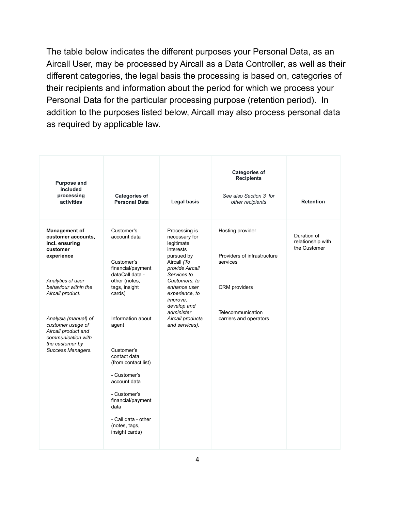The table below indicates the different purposes your Personal Data, as an Aircall User, may be processed by Aircall as a Data Controller, as well as their different categories, the legal basis the processing is based on, categories of their recipients and information about the period for which we process your Personal Data for the particular processing purpose (retention period). In addition to the purposes listed below, Aircall may also process personal data as required by applicable law.

| <b>Purpose and</b><br>included<br>processing<br>activities                                                                                                                      | <b>Categories of</b><br><b>Personal Data</b>                                                                                                                                                      | <b>Legal basis</b>                                                                                                                                                                                                                              | <b>Categories of</b><br><b>Recipients</b><br>See also Section 3 for<br>other recipients                                     | <b>Retention</b>                                 |
|---------------------------------------------------------------------------------------------------------------------------------------------------------------------------------|---------------------------------------------------------------------------------------------------------------------------------------------------------------------------------------------------|-------------------------------------------------------------------------------------------------------------------------------------------------------------------------------------------------------------------------------------------------|-----------------------------------------------------------------------------------------------------------------------------|--------------------------------------------------|
| <b>Management of</b><br>customer accounts,<br>incl. ensuring<br>customer<br>experience<br>Analytics of user<br>behaviour within the<br>Aircall product.<br>Analysis (manual) of | Customer's<br>account data<br>Customer's<br>financial/payment<br>dataCall data -<br>other (notes,<br>tags, insight<br>cards)<br>Information about                                                 | Processing is<br>necessary for<br>legitimate<br>interests<br>pursued by<br>Aircall (To<br>provide Aircall<br>Services to<br>Customers, to<br>enhance user<br>experience, to<br><i>improve,</i><br>develop and<br>administer<br>Aircall products | Hosting provider<br>Providers of infrastructure<br>services<br>CRM providers<br>Telecommunication<br>carriers and operators | Duration of<br>relationship with<br>the Customer |
| customer usage of<br>Aircall product and<br>communication with<br>the customer by<br>Success Managers.                                                                          | agent<br>Customer's<br>contact data<br>(from contact list)<br>- Customer's<br>account data<br>- Customer's<br>financial/payment<br>data<br>- Call data - other<br>(notes, tags,<br>insight cards) | and services).                                                                                                                                                                                                                                  |                                                                                                                             |                                                  |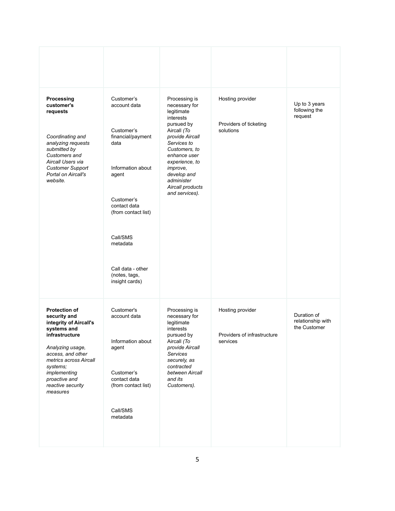| Processing<br>customer's<br>requests<br>Coordinating and<br>analyzing requests<br>submitted by<br>Customers and<br>Aircall Users via<br><b>Customer Support</b><br>Portal on Aircall's<br>website.                                               | Customer's<br>account data<br>Customer's<br>financial/payment<br>data<br>Information about<br>agent<br>Customer's<br>contact data<br>(from contact list)<br>Call/SMS<br>metadata<br>Call data - other<br>(notes, tags,<br>insight cards) | Processing is<br>necessary for<br>legitimate<br>interests<br>pursued by<br>Aircall (To<br>provide Aircall<br>Services to<br>Customers, to<br>enhance user<br>experience, to<br>improve,<br>develop and<br>administer<br>Aircall products<br>and services). | Hosting provider<br>Providers of ticketing<br>solutions     | Up to 3 years<br>following the<br>request        |
|--------------------------------------------------------------------------------------------------------------------------------------------------------------------------------------------------------------------------------------------------|------------------------------------------------------------------------------------------------------------------------------------------------------------------------------------------------------------------------------------------|------------------------------------------------------------------------------------------------------------------------------------------------------------------------------------------------------------------------------------------------------------|-------------------------------------------------------------|--------------------------------------------------|
| <b>Protection of</b><br>security and<br>integrity of Aircall's<br>systems and<br>infrastructure<br>Analyzing usage,<br>access, and other<br>metrics across Aircall<br>systems;<br>implementing<br>proactive and<br>reactive security<br>measures | Customer's<br>account data<br>Information about<br>agent<br>Customer's<br>contact data<br>(from contact list)<br>Call/SMS<br>metadata                                                                                                    | Processing is<br>necessary for<br>legitimate<br>interests<br>pursued by<br>Aircall (To<br>provide Aircall<br>Services<br>securely, as<br>contracted<br>between Aircall<br>and its<br>Customers).                                                           | Hosting provider<br>Providers of infrastructure<br>services | Duration of<br>relationship with<br>the Customer |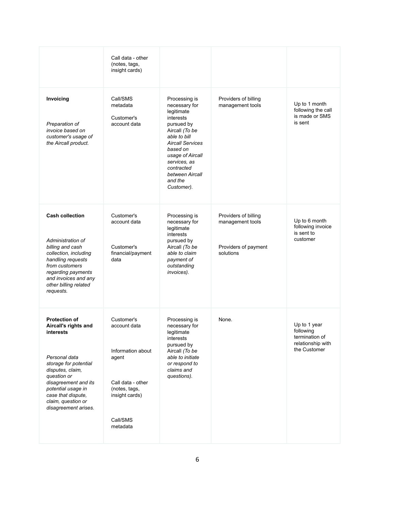|                                                                                                                                                                                                                                                          | Call data - other<br>(notes, tags,<br>insight cards)                                                                                     |                                                                                                                                                                                                                                                |                                                                               |                                                                                  |
|----------------------------------------------------------------------------------------------------------------------------------------------------------------------------------------------------------------------------------------------------------|------------------------------------------------------------------------------------------------------------------------------------------|------------------------------------------------------------------------------------------------------------------------------------------------------------------------------------------------------------------------------------------------|-------------------------------------------------------------------------------|----------------------------------------------------------------------------------|
| Invoicing<br>Preparation of<br>invoice based on<br>customer's usage of<br>the Aircall product.                                                                                                                                                           | Call/SMS<br>metadata<br>Customer's<br>account data                                                                                       | Processing is<br>necessary for<br>legitimate<br>interests<br>pursued by<br>Aircall (To be<br>able to bill<br><b>Aircall Services</b><br>based on<br>usage of Aircall<br>services, as<br>contracted<br>between Aircall<br>and the<br>Customer). | Providers of billing<br>management tools                                      | Up to 1 month<br>following the call<br>is made or SMS<br>is sent                 |
| <b>Cash collection</b><br>Administration of<br>billing and cash<br>collection, including<br>handling requests<br>from customers<br>regarding payments<br>and invoices and any<br>other billing related<br>requests.                                      | Customer's<br>account data<br>Customer's<br>financial/payment<br>data                                                                    | Processing is<br>necessary for<br>legitimate<br>interests<br>pursued by<br>Aircall (To be<br>able to claim<br>payment of<br>outstanding<br>invoices).                                                                                          | Providers of billing<br>management tools<br>Providers of payment<br>solutions | Up to 6 month<br>following invoice<br>is sent to<br>customer                     |
| <b>Protection of</b><br>Aircall's rights and<br>interests<br>Personal data<br>storage for potential<br>disputes, claim,<br>question or<br>disagreement and its<br>potential usage in<br>case that dispute,<br>claim, question or<br>disagreement arises. | Customer's<br>account data<br>Information about<br>agent<br>Call data - other<br>(notes, tags,<br>insight cards)<br>Call/SMS<br>metadata | Processing is<br>necessary for<br>legitimate<br>interests<br>pursued by<br>Aircall (To be<br>able to initiate<br>or respond to<br>claims and<br>questions).                                                                                    | None.                                                                         | Up to 1 year<br>following<br>termination of<br>relationship with<br>the Customer |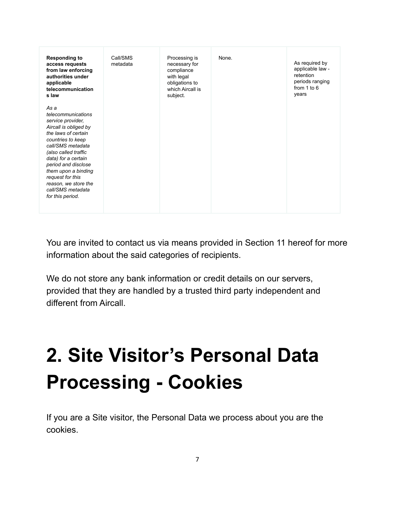| <b>Responding to</b><br>access requests<br>from law enforcing<br>authorities under<br>applicable<br>telecommunication<br>s law                                                                                                                                                                                              | Call/SMS<br>metadata | Processing is<br>necessary for<br>compliance<br>with legal<br>obligations to<br>which Aircall is<br>subject. | None. | As required by<br>applicable law -<br>retention<br>periods ranging<br>from $1$ to $6$<br>years |
|-----------------------------------------------------------------------------------------------------------------------------------------------------------------------------------------------------------------------------------------------------------------------------------------------------------------------------|----------------------|--------------------------------------------------------------------------------------------------------------|-------|------------------------------------------------------------------------------------------------|
| As a<br>telecommunications<br>service provider,<br>Aircall is obliged by<br>the laws of certain<br>countries to keep<br>call/SMS metadata<br>(also called traffic<br>data) for a certain<br>period and disclose<br>them upon a binding<br>request for this<br>reason, we store the<br>call/SMS metadata<br>for this period. |                      |                                                                                                              |       |                                                                                                |

You are invited to contact us via means provided in Section 11 hereof for more information about the said categories of recipients.

We do not store any bank information or credit details on our servers, provided that they are handled by a trusted third party independent and different from Aircall.

# **2. Site Visitor's Personal Data Processing - Cookies**

If you are a Site visitor, the Personal Data we process about you are the cookies.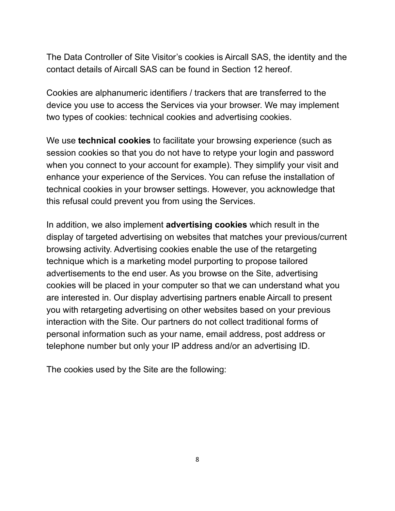The Data Controller of Site Visitor's cookies is Aircall SAS, the identity and the contact details of Aircall SAS can be found in Section 12 hereof.

Cookies are alphanumeric identifiers / trackers that are transferred to the device you use to access the Services via your browser. We may implement two types of cookies: technical cookies and advertising cookies.

We use **technical cookies** to facilitate your browsing experience (such as session cookies so that you do not have to retype your login and password when you connect to your account for example). They simplify your visit and enhance your experience of the Services. You can refuse the installation of technical cookies in your browser settings. However, you acknowledge that this refusal could prevent you from using the Services.

In addition, we also implement **advertising cookies** which result in the display of targeted advertising on websites that matches your previous/current browsing activity. Advertising cookies enable the use of the retargeting technique which is a marketing model purporting to propose tailored advertisements to the end user. As you browse on the Site, advertising cookies will be placed in your computer so that we can understand what you are interested in. Our display advertising partners enable Aircall to present you with retargeting advertising on other websites based on your previous interaction with the Site. Our partners do not collect traditional forms of personal information such as your name, email address, post address or telephone number but only your IP address and/or an advertising ID.

The cookies used by the Site are the following: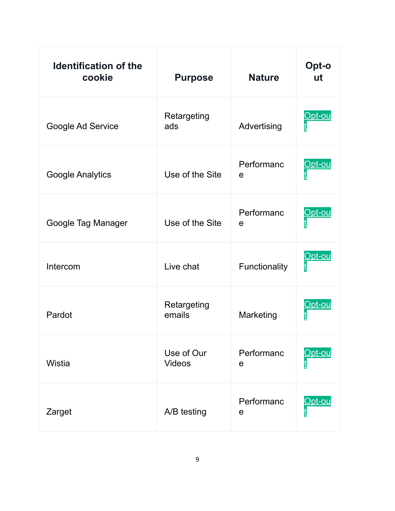| <b>Identification of the</b><br>cookie | <b>Purpose</b>              | <b>Nature</b>             | Opt-o<br>ut    |
|----------------------------------------|-----------------------------|---------------------------|----------------|
| Google Ad Service                      | Retargeting<br>ads          | Advertising               | <u> Dpt-ou</u> |
| <b>Google Analytics</b>                | Use of the Site             | Performanc<br>e           | <u>Opt-ou</u>  |
| Google Tag Manager                     | Use of the Site             | Performanc<br>e           | Opt-ou         |
| Intercom                               | Live chat                   | Functionality             | <u>)pt-ou</u>  |
| Pardot                                 | Retargeting<br>emails       | Marketing                 | <u> Opt-ou</u> |
| <b>Wistia</b>                          | Use of Our<br><b>Videos</b> | Performanc<br>$\mathbf e$ | <b>bt-ou</b>   |
| Zarget                                 | A/B testing                 | Performanc<br>e           | <u>Opt-ou</u>  |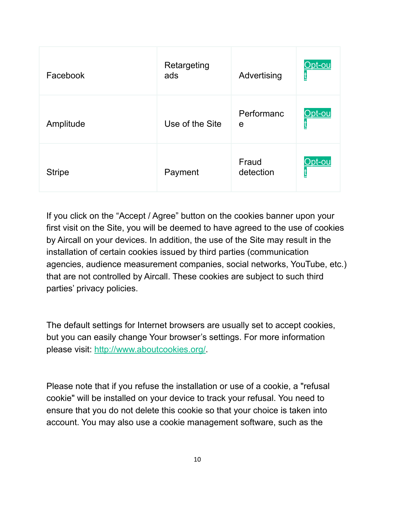| Facebook      | Retargeting<br>ads | Advertising        | <u>Opt-ou</u> |
|---------------|--------------------|--------------------|---------------|
| Amplitude     | Use of the Site    | Performanc<br>e    | <u>Opt-ou</u> |
| <b>Stripe</b> | Payment            | Fraud<br>detection | Opt-ou        |

If you click on the "Accept / Agree" button on the cookies banner upon your first visit on the Site, you will be deemed to have agreed to the use of cookies by Aircall on your devices. In addition, the use of the Site may result in the installation of certain cookies issued by third parties (communication agencies, audience measurement companies, social networks, YouTube, etc.) that are not controlled by Aircall. These cookies are subject to such third parties' privacy policies.

The default settings for Internet browsers are usually set to accept cookies, but you can easily change Your browser's settings. For more information please visit: [http://www.aboutcookies.org/.](http://www.aboutcookies.org/)

Please note that if you refuse the installation or use of a cookie, a "refusal cookie" will be installed on your device to track your refusal. You need to ensure that you do not delete this cookie so that your choice is taken into account. You may also use a cookie management software, such as the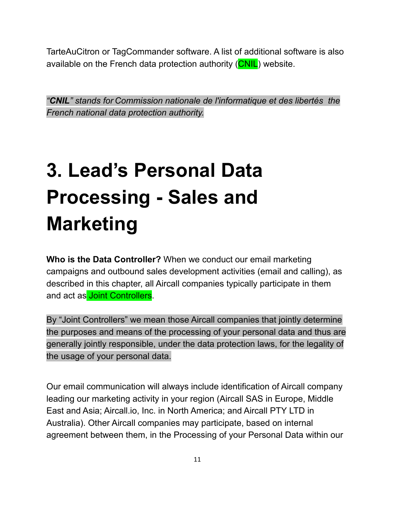TarteAuCitron or TagCommander software. A list of additional software is also available on the French data protection authority (CNIL) website.

*"CNIL" stands for Commission nationale de l'informatique et des libertés the French national data protection authority.*

# **3. Lead's Personal Data Processing - Sales and Marketing**

**Who is the Data Controller?** When we conduct our email marketing campaigns and outbound sales development activities (email and calling), as described in this chapter, all Aircall companies typically participate in them and act as **Joint Controllers**.

By "Joint Controllers" we mean those Aircall companies that jointly determine the purposes and means of the processing of your personal data and thus are generally jointly responsible, under the data protection laws, for the legality of the usage of your personal data.

Our email communication will always include identification of Aircall company leading our marketing activity in your region (Aircall SAS in Europe, Middle East and Asia; Aircall.io, Inc. in North America; and Aircall PTY LTD in Australia). Other Aircall companies may participate, based on internal agreement between them, in the Processing of your Personal Data within our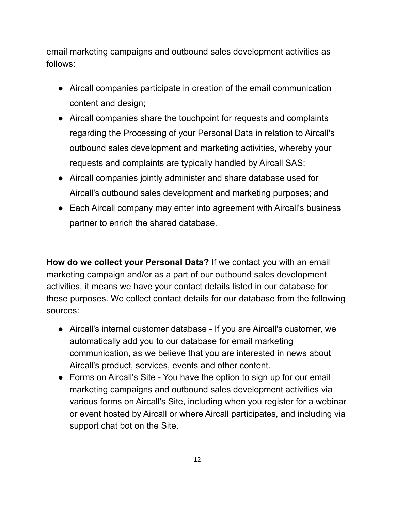email marketing campaigns and outbound sales development activities as follows:

- Aircall companies participate in creation of the email communication content and design;
- Aircall companies share the touchpoint for requests and complaints regarding the Processing of your Personal Data in relation to Aircall's outbound sales development and marketing activities, whereby your requests and complaints are typically handled by Aircall SAS;
- Aircall companies jointly administer and share database used for Aircall's outbound sales development and marketing purposes; and
- Each Aircall company may enter into agreement with Aircall's business partner to enrich the shared database.

**How do we collect your Personal Data?** If we contact you with an email marketing campaign and/or as a part of our outbound sales development activities, it means we have your contact details listed in our database for these purposes. We collect contact details for our database from the following sources:

- Aircall's internal customer database If you are Aircall's customer, we automatically add you to our database for email marketing communication, as we believe that you are interested in news about Aircall's product, services, events and other content.
- Forms on Aircall's Site You have the option to sign up for our email marketing campaigns and outbound sales development activities via various forms on Aircall's Site, including when you register for a webinar or event hosted by Aircall or where Aircall participates, and including via support chat bot on the Site.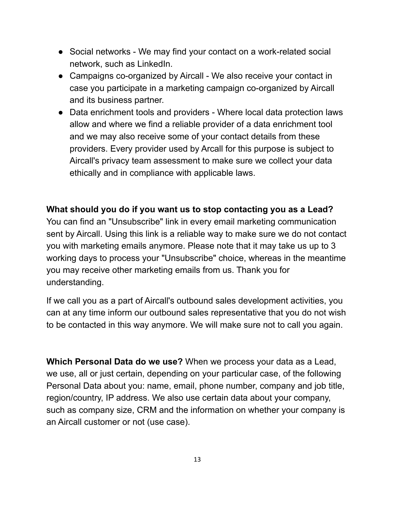- Social networks We may find your contact on a work-related social network, such as LinkedIn.
- Campaigns co-organized by Aircall We also receive your contact in case you participate in a marketing campaign co-organized by Aircall and its business partner.
- Data enrichment tools and providers Where local data protection laws allow and where we find a reliable provider of a data enrichment tool and we may also receive some of your contact details from these providers. Every provider used by Arcall for this purpose is subject to Aircall's privacy team assessment to make sure we collect your data ethically and in compliance with applicable laws.

#### **What should you do if you want us to stop contacting you as a Lead?**

You can find an "Unsubscribe" link in every email marketing communication sent by Aircall. Using this link is a reliable way to make sure we do not contact you with marketing emails anymore. Please note that it may take us up to 3 working days to process your "Unsubscribe" choice, whereas in the meantime you may receive other marketing emails from us. Thank you for understanding.

If we call you as a part of Aircall's outbound sales development activities, you can at any time inform our outbound sales representative that you do not wish to be contacted in this way anymore. We will make sure not to call you again.

**Which Personal Data do we use?** When we process your data as a Lead, we use, all or just certain, depending on your particular case, of the following Personal Data about you: name, email, phone number, company and job title, region/country, IP address. We also use certain data about your company, such as company size, CRM and the information on whether your company is an Aircall customer or not (use case).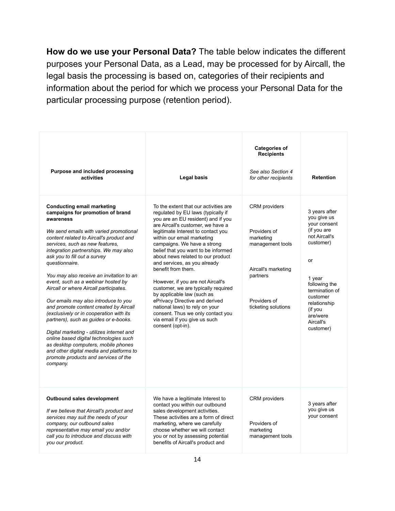**How do we use your Personal Data?** The table below indicates the different purposes your Personal Data, as a Lead, may be processed for by Aircall, the legal basis the processing is based on, categories of their recipients and information about the period for which we process your Personal Data for the particular processing purpose (retention period).

| Purpose and included processing<br>activities                                                                                                                                                                                                                                                                                                                                                                                                                                                                                                                                                                                                                                                                                                                                                                                          | Legal basis                                                                                                                                                                                                                                                                                                                                                                                                                                                                                                                                                                                                                                                          | <b>Categories of</b><br><b>Recipients</b><br>See also Section 4<br>for other recipients                                                         | <b>Retention</b>                                                                                                                                                                                                          |
|----------------------------------------------------------------------------------------------------------------------------------------------------------------------------------------------------------------------------------------------------------------------------------------------------------------------------------------------------------------------------------------------------------------------------------------------------------------------------------------------------------------------------------------------------------------------------------------------------------------------------------------------------------------------------------------------------------------------------------------------------------------------------------------------------------------------------------------|----------------------------------------------------------------------------------------------------------------------------------------------------------------------------------------------------------------------------------------------------------------------------------------------------------------------------------------------------------------------------------------------------------------------------------------------------------------------------------------------------------------------------------------------------------------------------------------------------------------------------------------------------------------------|-------------------------------------------------------------------------------------------------------------------------------------------------|---------------------------------------------------------------------------------------------------------------------------------------------------------------------------------------------------------------------------|
| <b>Conducting email marketing</b><br>campaigns for promotion of brand<br>awareness<br>We send emails with varied promotional<br>content related to Aircall's product and<br>services, such as new features.<br>integration partnerships. We may also<br>ask you to fill out a survey<br>questionnaire.<br>You may also receive an invitation to an<br>event, such as a webinar hosted by<br>Aircall or where Aircall participates.<br>Our emails may also introduce to you<br>and promote content created by Aircall<br>(exclusively or in cooperation with its<br>partners), such as guides or e-books.<br>Digital marketing - utilizes internet and<br>online based digital technologies such<br>as desktop computers, mobile phones<br>and other digital media and platforms to<br>promote products and services of the<br>company. | To the extent that our activities are<br>regulated by EU laws (typically if<br>you are an EU resident) and if you<br>are Aircall's customer, we have a<br>legitimate Interest to contact you<br>within our email marketing<br>campaigns. We have a strong<br>belief that you want to be informed<br>about news related to our product<br>and services, as you already<br>benefit from them.<br>However, if you are not Aircall's<br>customer, we are typically required<br>by applicable law (such as<br>ePrivacy Directive and derived<br>national laws) to rely on your<br>consent. Thus we only contact you<br>via email if you give us such<br>consent (opt-in). | <b>CRM</b> providers<br>Providers of<br>marketing<br>management tools<br>Aircall's marketing<br>partners<br>Providers of<br>ticketing solutions | 3 years after<br>you give us<br>your consent<br>(if you are<br>not Aircall's<br>customer)<br>or<br>1 year<br>following the<br>termination of<br>customer<br>relationship<br>(if you<br>are/were<br>Aircall's<br>customer) |
| Outbound sales development<br>If we believe that Aircall's product and<br>services may suit the needs of your<br>company, our outbound sales<br>representative may email you and/or<br>call you to introduce and discuss with<br>you our product.                                                                                                                                                                                                                                                                                                                                                                                                                                                                                                                                                                                      | We have a legitimate Interest to<br>contact you within our outbound<br>sales development activities.<br>These activities are a form of direct<br>marketing, where we carefully<br>choose whether we will contact<br>you or not by assessing potential<br>benefits of Aircall's product and                                                                                                                                                                                                                                                                                                                                                                           | <b>CRM</b> providers<br>Providers of<br>marketing<br>management tools                                                                           | 3 years after<br>you give us<br>your consent                                                                                                                                                                              |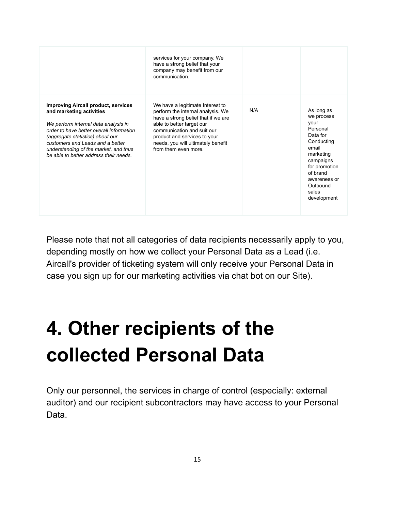|                                                                                                                                                                                                                                                                                                                       | services for your company. We<br>have a strong belief that your<br>company may benefit from our<br>communication.                                                                                                                                                    |     |                                                                                                                                                                                            |
|-----------------------------------------------------------------------------------------------------------------------------------------------------------------------------------------------------------------------------------------------------------------------------------------------------------------------|----------------------------------------------------------------------------------------------------------------------------------------------------------------------------------------------------------------------------------------------------------------------|-----|--------------------------------------------------------------------------------------------------------------------------------------------------------------------------------------------|
| <b>Improving Aircall product, services</b><br>and marketing activities<br>We perform internal data analysis in<br>order to have better overall information<br>(aggregate statistics) about our<br>customers and I eads and a better<br>understanding of the market, and thus<br>be able to better address their needs | We have a legitimate Interest to<br>perform the internal analysis. We<br>have a strong belief that if we are<br>able to better target our<br>communication and suit our<br>product and services to your<br>needs, you will ultimately benefit<br>from them even more | N/A | As long as<br>we process<br>vour<br>Personal<br>Data for<br>Conducting<br>email<br>marketing<br>campaigns<br>for promotion<br>of brand<br>awareness or<br>Outbound<br>sales<br>development |

Please note that not all categories of data recipients necessarily apply to you, depending mostly on how we collect your Personal Data as a Lead (i.e. Aircall's provider of ticketing system will only receive your Personal Data in case you sign up for our marketing activities via chat bot on our Site).

## **4. Other recipients of the collected Personal Data**

Only our personnel, the services in charge of control (especially: external auditor) and our recipient subcontractors may have access to your Personal Data.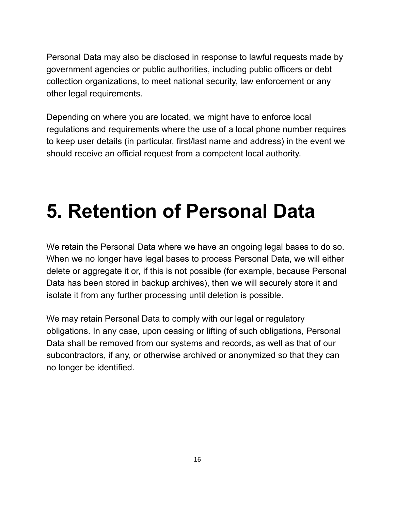Personal Data may also be disclosed in response to lawful requests made by government agencies or public authorities, including public officers or debt collection organizations, to meet national security, law enforcement or any other legal requirements.

Depending on where you are located, we might have to enforce local regulations and requirements where the use of a local phone number requires to keep user details (in particular, first/last name and address) in the event we should receive an official request from a competent local authority.

## **5. Retention of Personal Data**

We retain the Personal Data where we have an ongoing legal bases to do so. When we no longer have legal bases to process Personal Data, we will either delete or aggregate it or, if this is not possible (for example, because Personal Data has been stored in backup archives), then we will securely store it and isolate it from any further processing until deletion is possible.

We may retain Personal Data to comply with our legal or regulatory obligations. In any case, upon ceasing or lifting of such obligations, Personal Data shall be removed from our systems and records, as well as that of our subcontractors, if any, or otherwise archived or anonymized so that they can no longer be identified.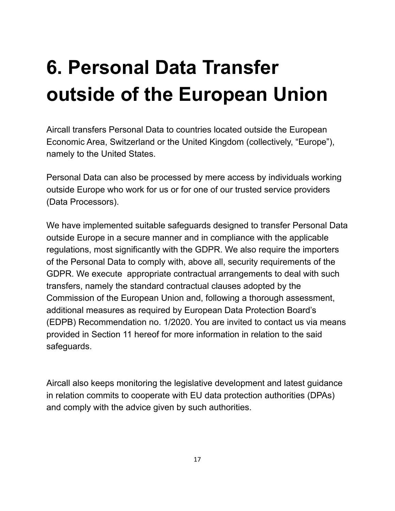## **6. Personal Data Transfer outside of the European Union**

Aircall transfers Personal Data to countries located outside the European Economic Area, Switzerland or the United Kingdom (collectively, "Europe"), namely to the United States.

Personal Data can also be processed by mere access by individuals working outside Europe who work for us or for one of our trusted service providers (Data Processors).

We have implemented suitable safeguards designed to transfer Personal Data outside Europe in a secure manner and in compliance with the applicable regulations, most significantly with the GDPR. We also require the importers of the Personal Data to comply with, above all, security requirements of the GDPR. We execute appropriate contractual arrangements to deal with such transfers, namely the standard contractual clauses adopted by the Commission of the European Union and, following a thorough assessment, additional measures as required by European Data Protection Board's (EDPB) Recommendation no. 1/2020. You are invited to contact us via means provided in Section 11 hereof for more information in relation to the said safeguards.

Aircall also keeps monitoring the legislative development and latest guidance in relation commits to cooperate with EU data protection authorities (DPAs) and comply with the advice given by such authorities.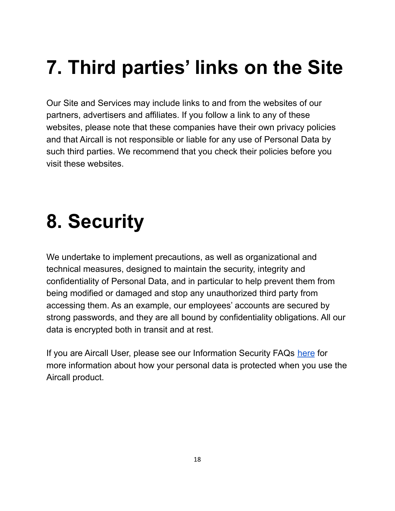## **7. Third parties' links on the Site**

Our Site and Services may include links to and from the websites of our partners, advertisers and affiliates. If you follow a link to any of these websites, please note that these companies have their own privacy policies and that Aircall is not responsible or liable for any use of Personal Data by such third parties. We recommend that you check their policies before you visit these websites.

## **8. Security**

We undertake to implement precautions, as well as organizational and technical measures, designed to maintain the security, integrity and confidentiality of Personal Data, and in particular to help prevent them from being modified or damaged and stop any unauthorized third party from accessing them. As an example, our employees' accounts are secured by strong passwords, and they are all bound by confidentiality obligations. All our data is encrypted both in transit and at rest.

If you are Aircall User, please see our Information Security FAQs [here](https://aircall.io/security/) for more information about how your personal data is protected when you use the Aircall product.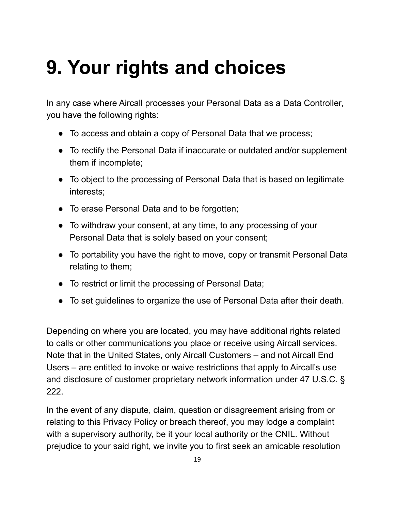#### **9. Your rights and choices**

In any case where Aircall processes your Personal Data as a Data Controller, you have the following rights:

- To access and obtain a copy of Personal Data that we process;
- To rectify the Personal Data if inaccurate or outdated and/or supplement them if incomplete;
- To object to the processing of Personal Data that is based on legitimate interests;
- To erase Personal Data and to be forgotten;
- To withdraw your consent, at any time, to any processing of your Personal Data that is solely based on your consent;
- To portability you have the right to move, copy or transmit Personal Data relating to them;
- To restrict or limit the processing of Personal Data;
- To set guidelines to organize the use of Personal Data after their death.

Depending on where you are located, you may have additional rights related to calls or other communications you place or receive using Aircall services. Note that in the United States, only Aircall Customers – and not Aircall End Users – are entitled to invoke or waive restrictions that apply to Aircall's use and disclosure of customer proprietary network information under 47 U.S.C. § 222.

In the event of any dispute, claim, question or disagreement arising from or relating to this Privacy Policy or breach thereof, you may lodge a complaint with a supervisory authority, be it your local authority or the CNIL. Without prejudice to your said right, we invite you to first seek an amicable resolution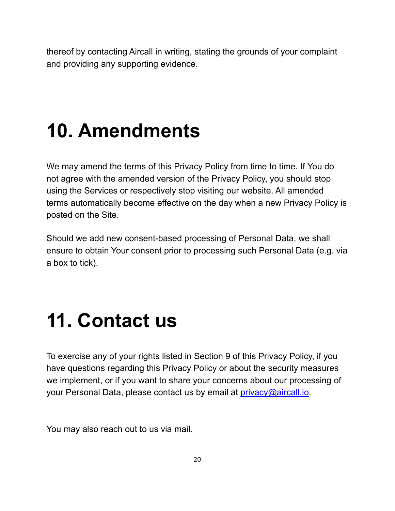thereof by contacting Aircall in writing, stating the grounds of your complaint and providing any supporting evidence.

## **10. Amendments**

We may amend the terms of this Privacy Policy from time to time. If You do not agree with the amended version of the Privacy Policy, you should stop using the Services or respectively stop visiting our website. All amended terms automatically become effective on the day when a new Privacy Policy is posted on the Site.

Should we add new consent-based processing of Personal Data, we shall ensure to obtain Your consent prior to processing such Personal Data (e.g. via a box to tick).

#### **11. Contact us**

To exercise any of your rights listed in Section 9 of this Privacy Policy, if you have questions regarding this Privacy Policy or about the security measures we implement, or if you want to share your concerns about our processing of your Personal Data, please contact us by email at *[privacy@aircall.io.](mailto:privacy@aircall.io)* 

You may also reach out to us via mail.